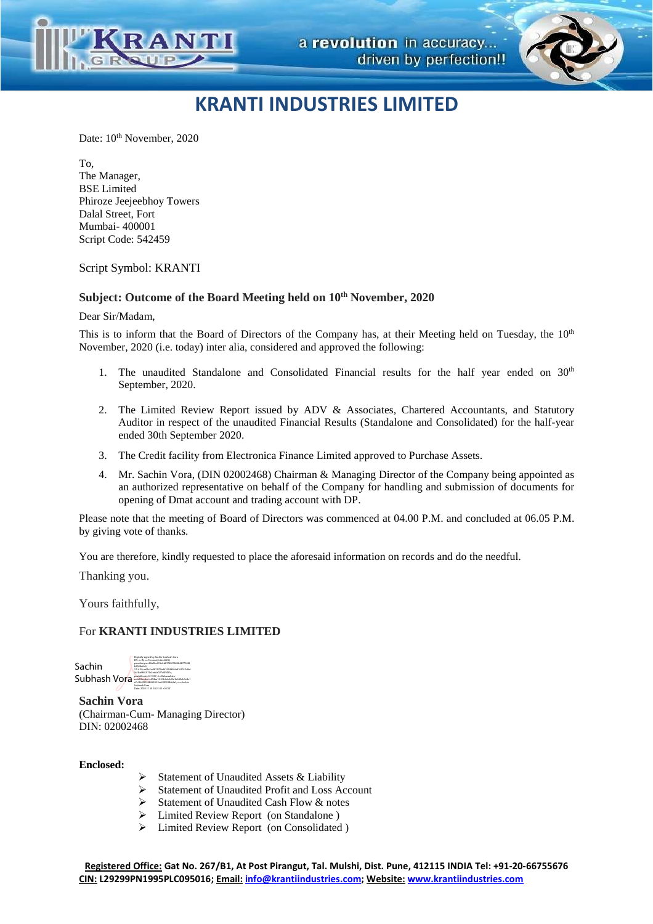

Date:  $10^{th}$  November, 2020

To, The Manager, BSE Limited Phiroze Jeejeebhoy Towers Dalal Street, Fort Mumbai- 400001 Script Code: 542459

Script Symbol: KRANTI

#### **Subject: Outcome of the Board Meeting held on 10th November, 2020**

Dear Sir/Madam,

This is to inform that the Board of Directors of the Company has, at their Meeting held on Tuesday, the 10<sup>th</sup> November, 2020 (i.e. today) inter alia, considered and approved the following:

- 1. The unaudited Standalone and Consolidated Financial results for the half year ended on  $30<sup>th</sup>$ September, 2020.
- 2. The Limited Review Report issued by ADV & Associates, Chartered Accountants, and Statutory Auditor in respect of the unaudited Financial Results (Standalone and Consolidated) for the half-year ended 30th September 2020.
- 3. The Credit facility from Electronica Finance Limited approved to Purchase Assets.
- 4. Mr. Sachin Vora, (DIN 02002468) Chairman & Managing Director of the Company being appointed as an authorized representative on behalf of the Company for handling and submission of documents for opening of Dmat account and trading account with DP.

Please note that the meeting of Board of Directors was commenced at 04.00 P.M. and concluded at 06.05 P.M. by giving vote of thanks.

You are therefore, kindly requested to place the aforesaid information on records and do the needful.

Thanking you.

Yours faithfully,

### For **KRANTI INDUSTRIES LIMITED**

 Sachin Subhash Vora Digitally signed by Sachin Subhash Vora DN: c=IN, o=Personal, title=8698, pseudonym=80a3bc47ddcb87f8207863b88770f48 b9088d6c4, 2.5.4.20=e62a3cd9f1370bd676248694af104012ddd 3c18a6861975c5ad6a027a0f4f21a, postalCode=411037, st=Maharashtra, serialNumber=404ba1fc53b3cb3d5a1b649eb1e8e1 a7c3fb2f253f4f665152aa21f024fbb2a2, cn=Sachin Subhash Vora Date: 2020.11.10 18:21:35 +05'30'

**Sachin Vora** (Chairman-Cum- Managing Director) DIN: 02002468

**Enclosed:** 

- Statement of Unaudited Assets & Liability<br>Statement of Unaudited Profit and Loss Ac
- Statement of Unaudited Profit and Loss Account
- Statement of Unaudited Cash Flow & notes
- Limited Review Report (on Standalone )
- $\triangleright$  Limited Review Report (on Consolidated )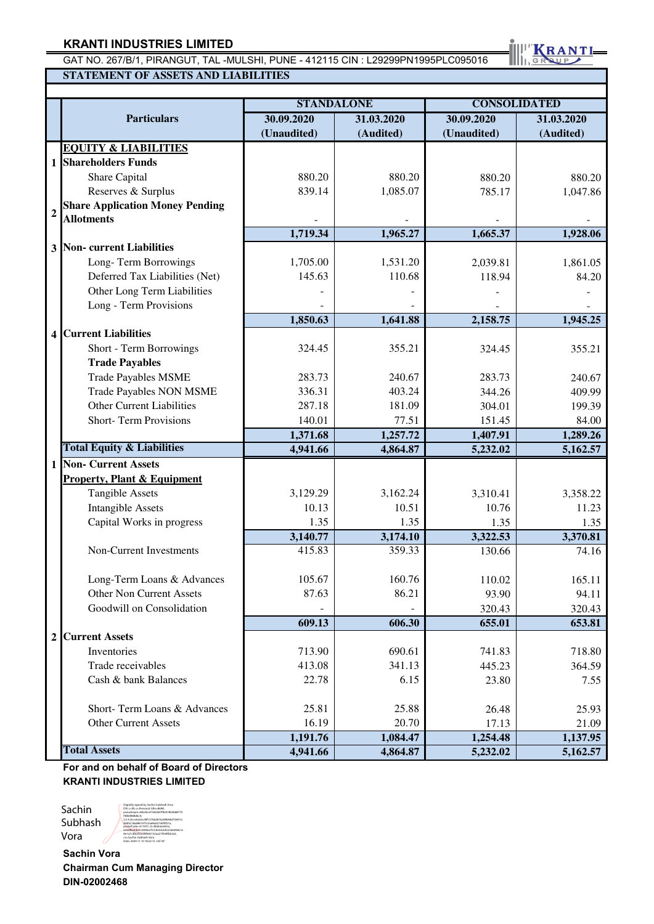GAT NO. 267/B/1, PIRANGUT, TAL -MULSHI, PUNE - 412115 CIN : L29299PN1995PLC095016 **STATEMENT OF ASSETS AND LIABILITIES** 

KRANTI

|                                                          |             | <b>STANDALONE</b> | <b>CONSOLIDATED</b> |                          |  |  |
|----------------------------------------------------------|-------------|-------------------|---------------------|--------------------------|--|--|
| <b>Particulars</b>                                       | 30.09.2020  | 31.03.2020        |                     | 30.09.2020<br>31.03.2020 |  |  |
|                                                          | (Unaudited) | (Audited)         | (Unaudited)         | (Audited)                |  |  |
| <b>EQUITY &amp; LIABILITIES</b>                          |             |                   |                     |                          |  |  |
| <b>Shareholders Funds</b><br>$\mathbf{1}$                |             |                   |                     |                          |  |  |
| Share Capital                                            | 880.20      | 880.20            | 880.20              | 880.20                   |  |  |
| Reserves & Surplus                                       | 839.14      | 1,085.07          | 785.17              | 1,047.86                 |  |  |
| <b>Share Application Money Pending</b><br>$\overline{2}$ |             |                   |                     |                          |  |  |
| <b>Allotments</b>                                        |             |                   |                     |                          |  |  |
|                                                          | 1,719.34    | 1,965.27          | 1,665.37            | 1,928.06                 |  |  |
| Non-current Liabilities<br>$\overline{\mathbf{3}}$       |             |                   |                     |                          |  |  |
| Long-Term Borrowings                                     | 1,705.00    | 1,531.20          | 2,039.81            | 1,861.05                 |  |  |
| Deferred Tax Liabilities (Net)                           | 145.63      | 110.68            | 118.94              | 84.20                    |  |  |
| Other Long Term Liabilities                              |             |                   |                     |                          |  |  |
| Long - Term Provisions                                   |             |                   |                     |                          |  |  |
|                                                          | 1,850.63    | 1,641.88          | 2,158.75            | 1,945.25                 |  |  |
| <b>Current Liabilities</b><br>4                          |             |                   |                     |                          |  |  |
| Short - Term Borrowings                                  | 324.45      | 355.21            | 324.45              | 355.21                   |  |  |
| <b>Trade Payables</b>                                    |             |                   |                     |                          |  |  |
| <b>Trade Payables MSME</b>                               | 283.73      | 240.67            | 283.73              | 240.67                   |  |  |
| <b>Trade Payables NON MSME</b>                           | 336.31      | 403.24            | 344.26              | 409.99                   |  |  |
| <b>Other Current Liabilities</b>                         | 287.18      | 181.09            | 304.01              | 199.39                   |  |  |
| <b>Short-Term Provisions</b>                             | 140.01      | 77.51             | 151.45              | 84.00                    |  |  |
|                                                          | 1,371.68    | 1,257.72          | 1,407.91            | 1,289.26                 |  |  |
| <b>Total Equity &amp; Liabilities</b>                    | 4,941.66    | 4,864.87          | 5,232.02            | 5,162.57                 |  |  |
| <b>Non- Current Assets</b><br>$\mathbf{1}$               |             |                   |                     |                          |  |  |
| <b>Property, Plant &amp; Equipment</b>                   |             |                   |                     |                          |  |  |
| <b>Tangible Assets</b>                                   | 3,129.29    | 3,162.24          | 3,310.41            | 3,358.22                 |  |  |
| <b>Intangible Assets</b>                                 | 10.13       | 10.51             | 10.76               | 11.23                    |  |  |
| Capital Works in progress                                | 1.35        | 1.35              | 1.35                | 1.35                     |  |  |
|                                                          | 3,140.77    | 3,174.10          | 3,322.53            | 3,370.81                 |  |  |
| Non-Current Investments                                  | 415.83      | 359.33            | 130.66              | 74.16                    |  |  |
|                                                          |             |                   |                     |                          |  |  |
| Long-Term Loans & Advances                               | 105.67      | 160.76            | 110.02              | 165.11                   |  |  |
| Other Non Current Assets                                 | 87.63       | 86.21             | 93.90               | 94.11                    |  |  |
| Goodwill on Consolidation                                |             |                   | 320.43              | 320.43                   |  |  |
|                                                          | 609.13      | 606.30            | 655.01              | 653.81                   |  |  |
| <b>Current Assets</b><br>$\overline{2}$                  |             |                   |                     |                          |  |  |
| Inventories                                              | 713.90      | 690.61            | 741.83              | 718.80                   |  |  |
| Trade receivables                                        | 413.08      | 341.13            | 445.23              | 364.59                   |  |  |
| Cash & bank Balances                                     | 22.78       | 6.15              | 23.80               | 7.55                     |  |  |
|                                                          |             |                   |                     |                          |  |  |
| Short-Term Loans & Advances                              | 25.81       | 25.88             | 26.48               | 25.93                    |  |  |
| <b>Other Current Assets</b>                              | 16.19       | 20.70             | 17.13               | 21.09                    |  |  |
|                                                          | 1,191.76    | 1,084.47          | 1,254.48            | 1,137.95                 |  |  |
| <b>Total Assets</b>                                      | 4,941.66    | 4,864.87          | 5,232.02            | 5,162.57                 |  |  |

**For and on behalf of Board of Directors KRANTI INDUSTRIES LIMITED**

Sachin Subhash Vora Digitally signed by Sachin Subhash Vora DN: c=IN, o=Personal, title=8698, pseudonym=80a3bc47ddcb87f8207863b88770 f48b9088d6c4, 2.5.4.20=e62a3cd9f1370bd676248694af104012 ddd3c18a6861975c5ad6a027a0f4f21a, postalCode=411037, st=Maharashtra, serialNumber=404ba1fc53b3cb3d5a1b649eb1e 8e1a7c3fb2f253f4f665152aa21f024fbb2a2, cn=Sachin Subhash Vora Date: 2020.11.10 18:22:15 +05'30'

**Sachin Vora Chairman Cum Managing Director DIN-02002468**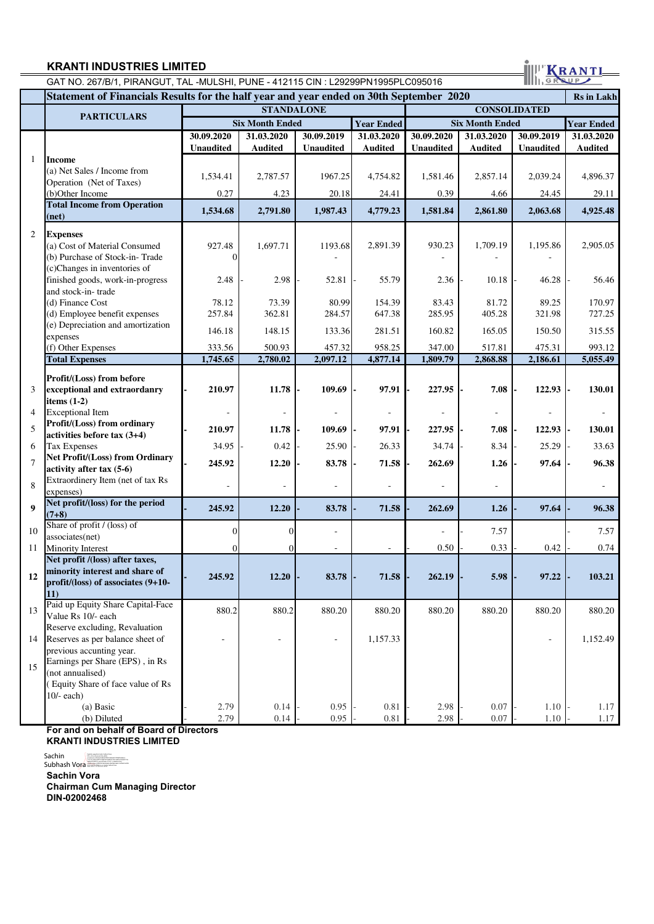GAT NO. 267/B/1, PIRANGUT, TAL -MULSHI, PUNE - 412115 CIN : L29299PN1995PLC095016

| Statement of Financials Results for the half year and year ended on 30th September 2020 |                                                               |                  |                          |                          |                          |                  | <b>Rs</b> in Lakh        |                          |                   |
|-----------------------------------------------------------------------------------------|---------------------------------------------------------------|------------------|--------------------------|--------------------------|--------------------------|------------------|--------------------------|--------------------------|-------------------|
|                                                                                         |                                                               |                  | <b>STANDALONE</b>        |                          |                          |                  | <b>CONSOLIDATED</b>      |                          |                   |
|                                                                                         | <b>PARTICULARS</b>                                            |                  | <b>Six Month Ended</b>   |                          | <b>Year Ended</b>        |                  | <b>Six Month Ended</b>   |                          | <b>Year Ended</b> |
|                                                                                         |                                                               | 30.09.2020       | 31.03.2020               | 30.09.2019               | 31.03.2020               | 30.09.2020       | 31.03.2020               | 30.09.2019               | 31.03.2020        |
|                                                                                         |                                                               | <b>Unaudited</b> | <b>Audited</b>           | <b>Unaudited</b>         | <b>Audited</b>           | <b>Unaudited</b> | <b>Audited</b>           | Unaudited                | <b>Audited</b>    |
| $\mathbf{1}$                                                                            | <b>Income</b>                                                 |                  |                          |                          |                          |                  |                          |                          |                   |
|                                                                                         | (a) Net Sales / Income from                                   | 1,534.41         | 2,787.57                 | 1967.25                  | 4,754.82                 | 1,581.46         | 2,857.14                 | 2,039.24                 | 4,896.37          |
|                                                                                         | Operation (Net of Taxes)                                      |                  |                          |                          |                          |                  |                          |                          |                   |
|                                                                                         | (b)Other Income                                               | 0.27             | 4.23                     | 20.18                    | 24.41                    | 0.39             | 4.66                     | 24.45                    | 29.11             |
|                                                                                         | <b>Total Income from Operation</b><br>(net)                   | 1,534.68         | 2,791.80                 | 1,987.43                 | 4,779.23                 | 1,581.84         | 2,861.80                 | 2,063.68                 | 4,925.48          |
| 2                                                                                       | <b>Expenses</b>                                               |                  |                          |                          |                          |                  |                          |                          |                   |
|                                                                                         | (a) Cost of Material Consumed                                 | 927.48           | 1,697.71                 | 1193.68                  | 2,891.39                 | 930.23           | 1,709.19                 | 1,195.86                 | 2,905.05          |
|                                                                                         | (b) Purchase of Stock-in-Trade                                |                  |                          |                          |                          |                  |                          |                          |                   |
|                                                                                         | (c)Changes in inventories of                                  |                  |                          |                          |                          |                  |                          |                          |                   |
|                                                                                         | finished goods, work-in-progress                              | 2.48             | 2.98                     | 52.81                    | 55.79                    | 2.36             | 10.18                    | 46.28                    | 56.46             |
|                                                                                         | and stock-in-trade<br>(d) Finance Cost                        | 78.12            | 73.39                    | 80.99                    | 154.39                   | 83.43            | 81.72                    | 89.25                    | 170.97            |
|                                                                                         | (d) Employee benefit expenses                                 | 257.84           | 362.81                   | 284.57                   | 647.38                   | 285.95           | 405.28                   | 321.98                   | 727.25            |
|                                                                                         | (e) Depreciation and amortization                             |                  |                          |                          |                          |                  |                          |                          |                   |
|                                                                                         | expenses                                                      | 146.18           | 148.15                   | 133.36                   | 281.51                   | 160.82           | 165.05                   | 150.50                   | 315.55            |
|                                                                                         | (f) Other Expenses                                            | 333.56           | 500.93                   | 457.32                   | 958.25                   | 347.00           | 517.81                   | 475.31                   | 993.12            |
|                                                                                         | <b>Total Expenses</b>                                         | 1,745.65         | 2,780.02                 | 2,097.12                 | 4,877.14                 | 1,809.79         | 2,868.88                 | 2,186.61                 | 5,055.49          |
|                                                                                         | Profit/(Loss) from before                                     |                  |                          |                          |                          |                  |                          |                          |                   |
| 3                                                                                       | exceptional and extraordanry                                  | 210.97           | 11.78                    | 109.69                   | 97.91                    | 227.95           | 7.08                     | 122.93                   | 130.01            |
|                                                                                         | items $(1-2)$                                                 |                  |                          |                          |                          |                  |                          |                          |                   |
| 4                                                                                       | <b>Exceptional Item</b>                                       |                  |                          |                          |                          |                  |                          |                          |                   |
| 5                                                                                       | Profit/(Loss) from ordinary                                   | 210.97           | 11.78                    | 109.69                   | 97.91                    | 227.95           | 7.08                     | 122.93                   | 130.01            |
|                                                                                         | activities before tax (3+4)                                   |                  |                          |                          |                          |                  |                          |                          |                   |
| 6                                                                                       | <b>Tax Expenses</b>                                           | 34.95            | 0.42                     | 25.90                    | 26.33                    | 34.74            | 8.34                     | 25.29                    | 33.63             |
| $\overline{7}$                                                                          | Net Profit/(Loss) from Ordinary                               | 245.92           | 12.20                    | 83.78                    | 71.58                    | 262.69           | 1.26                     | 97.64                    | 96.38             |
|                                                                                         | activity after tax (5-6)<br>Extraordinery Item (net of tax Rs |                  |                          |                          |                          |                  |                          |                          |                   |
| 8                                                                                       | expenses)                                                     |                  |                          |                          |                          |                  | $\overline{\phantom{a}}$ |                          |                   |
|                                                                                         | Net profit/(loss) for the period                              |                  |                          |                          |                          |                  |                          |                          |                   |
| 9                                                                                       | $(7+8)$                                                       | 245.92           | 12.20                    | 83.78                    | 71.58                    | 262.69           | 1.26                     | 97.64                    | 96.38             |
| 10                                                                                      | Share of profit / (loss) of                                   |                  | 0                        |                          |                          |                  | 7.57                     |                          | 7.57              |
| 11                                                                                      | associates(net)<br>Minority Interest                          |                  |                          | ÷.                       | $\overline{\phantom{a}}$ | 0.50             | 0.33                     | 0.42                     | 0.74              |
|                                                                                         | Net profit /(loss) after taxes,                               |                  |                          |                          |                          |                  |                          |                          |                   |
|                                                                                         | minority interest and share of                                |                  |                          |                          |                          |                  |                          |                          |                   |
| 12                                                                                      | profit/(loss) of associates (9+10-                            | 245.92           | 12.20                    | 83.78                    | 71.58                    | 262.19           | 5.98                     | 97.22                    | 103.21            |
|                                                                                         | <b>11</b> )                                                   |                  |                          |                          |                          |                  |                          |                          |                   |
| 13                                                                                      | Paid up Equity Share Capital-Face                             | 880.2            | 880.2                    | 880.20                   | 880.20                   | 880.20           | 880.20                   | 880.20                   | 880.20            |
|                                                                                         | Value Rs 10/- each                                            |                  |                          |                          |                          |                  |                          |                          |                   |
|                                                                                         | Reserve excluding, Revaluation                                |                  |                          |                          |                          |                  |                          |                          |                   |
| 14                                                                                      | Reserves as per balance sheet of<br>previous accunting year.  | ä,               | $\overline{\phantom{a}}$ | $\overline{\phantom{a}}$ | 1,157.33                 |                  |                          | $\overline{\phantom{a}}$ | 1,152.49          |
|                                                                                         | Earnings per Share (EPS), in Rs                               |                  |                          |                          |                          |                  |                          |                          |                   |
| 15                                                                                      | (not annualised)                                              |                  |                          |                          |                          |                  |                          |                          |                   |
|                                                                                         | (Equity Share of face value of Rs                             |                  |                          |                          |                          |                  |                          |                          |                   |
|                                                                                         | $10/-$ each)                                                  |                  |                          |                          |                          |                  |                          |                          |                   |
|                                                                                         | (a) Basic                                                     | 2.79             | 0.14                     | 0.95                     | 0.81                     | 2.98             | 0.07                     | 1.10                     | 1.17              |
|                                                                                         | (b) Diluted                                                   | 2.79             | 0.14                     | 0.95                     | 0.81                     | 2.98             | 0.07                     | 1.10                     | 1.17              |

KRANTI

**For and on behalf of Board of Directors KRANTI INDUSTRIES LIMITED**

**Sachin Vora Chairman Cum Managing Director DIN-02002468** Sachin<br>Subhash Vora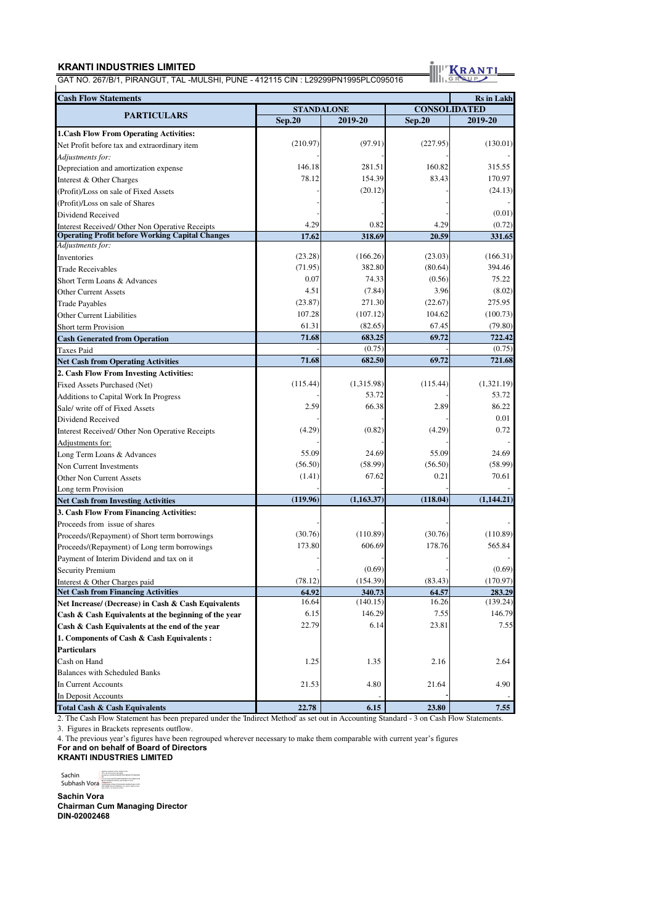GAT NO. 267/B/1, PIRANGUT, TAL -MULSHI, PUNE - 412115 CIN : L29299PN1995PLC095016

KRANTI

| <b>Cash Flow Statements</b><br><b>Rs</b> in Lakh       |                   |            |                     |            |  |  |  |
|--------------------------------------------------------|-------------------|------------|---------------------|------------|--|--|--|
|                                                        | <b>STANDALONE</b> |            | <b>CONSOLIDATED</b> |            |  |  |  |
| <b>PARTICULARS</b>                                     | <b>Sep.20</b>     | 2019-20    | <b>Sep.20</b>       | 2019-20    |  |  |  |
| <b>1. Cash Flow From Operating Activities:</b>         |                   |            |                     |            |  |  |  |
| Net Profit before tax and extraordinary item           | (210.97)          | (97.91)    | (227.95)            | (130.01)   |  |  |  |
| Adjustments for:                                       |                   |            |                     |            |  |  |  |
| Depreciation and amortization expense                  | 146.18            | 281.51     | 160.82              | 315.55     |  |  |  |
| Interest & Other Charges                               | 78.12             | 154.39     | 83.43               | 170.97     |  |  |  |
| (Profit)/Loss on sale of Fixed Assets                  |                   | (20.12)    |                     | (24.13)    |  |  |  |
| (Profit)/Loss on sale of Shares                        |                   |            |                     |            |  |  |  |
| Dividend Received                                      |                   |            |                     | (0.01)     |  |  |  |
| Interest Received/ Other Non Operative Receipts        | 4.29              | 0.82       | 4.29                | (0.72)     |  |  |  |
| <b>Operating Profit before Working Capital Changes</b> | 17.62             | 318.69     | 20.59               | 331.65     |  |  |  |
| Adjustments for:                                       |                   |            |                     |            |  |  |  |
| Inventories                                            | (23.28)           | (166.26)   | (23.03)             | (166.31)   |  |  |  |
| Trade Receivables                                      | (71.95)           | 382.80     | (80.64)             | 394.46     |  |  |  |
| Short Term Loans & Advances                            | 0.07              | 74.33      | (0.56)              | 75.22      |  |  |  |
| Other Current Assets                                   | 4.51              | (7.84)     | 3.96                | (8.02)     |  |  |  |
| <b>Trade Payables</b>                                  | (23.87)           | 271.30     | (22.67)             | 275.95     |  |  |  |
| Other Current Liabilities                              | 107.28            | (107.12)   | 104.62              | (100.73)   |  |  |  |
| <b>Short term Provision</b>                            | 61.31             | (82.65)    | 67.45               | (79.80)    |  |  |  |
| <b>Cash Generated from Operation</b>                   | 71.68             | 683.25     | 69.72               | 722.42     |  |  |  |
| Taxes Paid                                             |                   | (0.75)     |                     | (0.75)     |  |  |  |
| <b>Net Cash from Operating Activities</b>              | 71.68             | 682.50     | 69.72               | 721.68     |  |  |  |
| 2. Cash Flow From Investing Activities:                |                   |            |                     |            |  |  |  |
| Fixed Assets Purchased (Net)                           | (115.44)          | (1,315.98) | (115.44)            | (1,321.19) |  |  |  |
| Additions to Capital Work In Progress                  |                   | 53.72      |                     | 53.72      |  |  |  |
| Sale/ write off of Fixed Assets                        | 2.59              | 66.38      | 2.89                | 86.22      |  |  |  |
| Dividend Received                                      |                   |            |                     | 0.01       |  |  |  |
| Interest Received/ Other Non Operative Receipts        | (4.29)            | (0.82)     | (4.29)              | 0.72       |  |  |  |
| Adjustments for:                                       |                   |            |                     |            |  |  |  |
| Long Term Loans & Advances                             | 55.09             | 24.69      | 55.09               | 24.69      |  |  |  |
| Non Current Investments                                | (56.50)           | (58.99)    | (56.50)             | (58.99)    |  |  |  |
| <b>Other Non Current Assets</b>                        | (1.41)            | 67.62      | 0.21                | 70.61      |  |  |  |
| Long term Provision                                    |                   |            |                     |            |  |  |  |
| <b>Net Cash from Investing Activities</b>              | (119.96)          | (1,163.37) | (118.04)            | (1,144.21) |  |  |  |
| 3. Cash Flow From Financing Activities:                |                   |            |                     |            |  |  |  |
| Proceeds from issue of shares                          |                   |            |                     |            |  |  |  |
| Proceeds/(Repayment) of Short term borrowings          | (30.76)           | (110.89)   | (30.76)             | (110.89)   |  |  |  |
| Proceeds/(Repayment) of Long term borrowings           | 173.80            | 606.69     | 178.76              | 565.84     |  |  |  |
| Payment of Interim Dividend and tax on it              |                   |            |                     |            |  |  |  |
| <b>Security Premium</b>                                |                   | (0.69)     |                     | (0.69)     |  |  |  |
| Interest & Other Charges paid                          | (78.12)           | (154.39)   | (83.43)             | (170.97)   |  |  |  |
| <b>Net Cash from Financing Activities</b>              | 64.92             | 340.73     | 64.57               | 283.29     |  |  |  |
| Net Increase/ (Decrease) in Cash & Cash Equivalents    | 16.64             | (140.15)   | 16.26               | (139.24)   |  |  |  |
| Cash & Cash Equivalents at the beginning of the year   | 6.15              | 146.29     | 7.55                | 146.79     |  |  |  |
| Cash & Cash Equivalents at the end of the year         | 22.79             | 6.14       | 23.81               | 7.55       |  |  |  |
| 1. Components of Cash & Cash Equivalents:              |                   |            |                     |            |  |  |  |
| Particulars                                            |                   |            |                     |            |  |  |  |
| Cash on Hand                                           | 1.25              | 1.35       | 2.16                | 2.64       |  |  |  |
| <b>Balances with Scheduled Banks</b>                   |                   |            |                     |            |  |  |  |
| In Current Accounts                                    | 21.53             | 4.80       | 21.64               | 4.90       |  |  |  |
| In Deposit Accounts                                    |                   |            |                     |            |  |  |  |
| Total Cash & Cash Equivalents                          | 22.78             | 6.15       | 23.80               | 7.55       |  |  |  |

2. The Cash Flow Statement has been prepared under the 'Indirect Method' as set out in Accounting Standard - 3 on Cash Flow Statements. 3. Figures in Brackets represents outflow.

4. The previous year's figures have been regrouped wherever necessary to make them comparable with current year's figures

**For and on behalf of Board of Directors**

**KRANTI INDUSTRIES LIMITED**

Sachin<br>Subhash Vora lispidy apark is factor laboration<br>and the subsection of the state of the state of the state of the state<br>production of the state of the state of the state of the state<br>in (<br> $\sim 1.4.0\sim$  m) and the USA and the state of the

**Sachin Vora Chairman Cum Managing Director DIN-02002468**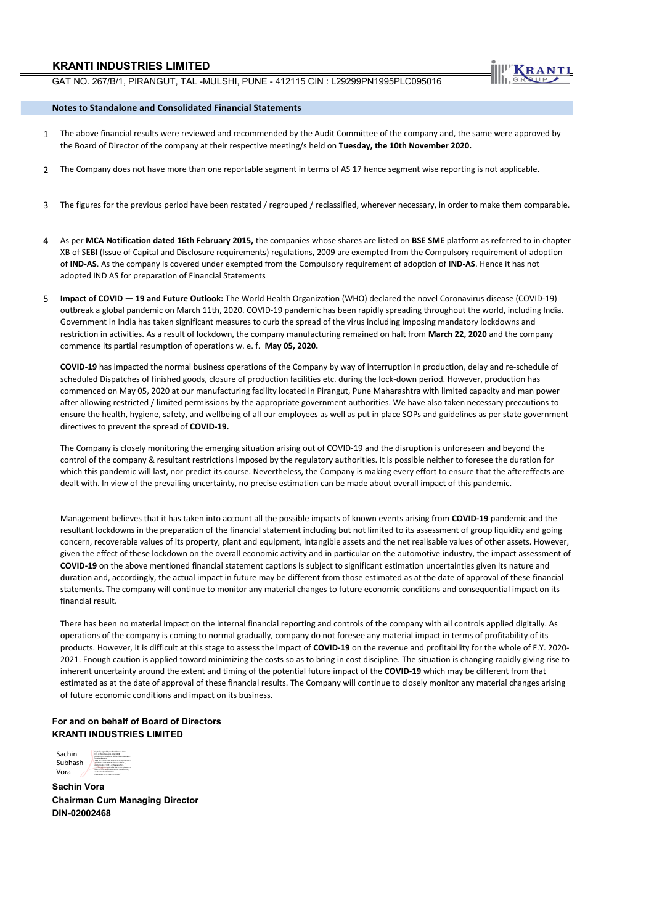

#### **Notes to Standalone and Consolidated Financial Statements**

- 1 The above financial results were reviewed and recommended by the Audit Committee of the company and, the same were approved by the Board of Director of the company at their respective meeting/s held on **Tuesday, the 10th November 2020.**
- 2 The Company does not have more than one reportable segment in terms of AS 17 hence segment wise reporting is not applicable.
- 3 The figures for the previous period have been restated / regrouped / reclassified, wherever necessary, in order to make them comparable.
- 4 As per **MCA Notification dated 16th February 2015,** the companies whose shares are listed on **BSE SME** platform as referred to in chapter XB of SEBI (Issue of Capital and Disclosure requirements) regulations, 2009 are exempted from the Compulsory requirement of adoption of **IND-AS**. As the company is covered under exempted from the Compulsory requirement of adoption of **IND-AS**. Hence it has not adopted IND AS for preparation of Financial Statements
- 5 **Impact of COVID 19 and Future Outlook:** The World Health Organization (WHO) declared the novel Coronavirus disease (COVID-19) outbreak a global pandemic on March 11th, 2020. COVID-19 pandemic has been rapidly spreading throughout the world, including India. Government in India has taken significant measures to curb the spread of the virus including imposing mandatory lockdowns and restriction in activities. As a result of lockdown, the company manufacturing remained on halt from **March 22, 2020** and the company commence its partial resumption of operations w. e. f. **May 05, 2020.**

**COVID-19** has impacted the normal business operations of the Company by way of interruption in production, delay and re-schedule of scheduled Dispatches of finished goods, closure of production facilities etc. during the lock-down period. However, production has commenced on May 05, 2020 at our manufacturing facility located in Pirangut, Pune Maharashtra with limited capacity and man power after allowing restricted / limited permissions by the appropriate government authorities. We have also taken necessary precautions to ensure the health, hygiene, safety, and wellbeing of all our employees as well as put in place SOPs and guidelines as per state government directives to prevent the spread of **COVID-19.** 

The Company is closely monitoring the emerging situation arising out of COVID-19 and the disruption is unforeseen and beyond the control of the company & resultant restrictions imposed by the regulatory authorities. It is possible neither to foresee the duration for which this pandemic will last, nor predict its course. Nevertheless, the Company is making every effort to ensure that the aftereffects are dealt with. In view of the prevailing uncertainty, no precise estimation can be made about overall impact of this pandemic.

Management believes that it has taken into account all the possible impacts of known events arising from **COVID-19** pandemic and the resultant lockdowns in the preparation of the financial statement including but not limited to its assessment of group liquidity and going concern, recoverable values of its property, plant and equipment, intangible assets and the net realisable values of other assets. However, given the effect of these lockdown on the overall economic activity and in particular on the automotive industry, the impact assessment of **COVID-19** on the above mentioned financial statement captions is subject to significant estimation uncertainties given its nature and duration and, accordingly, the actual impact in future may be different from those estimated as at the date of approval of these financial statements. The company will continue to monitor any material changes to future economic conditions and consequential impact on its financial result.

There has been no material impact on the internal financial reporting and controls of the company with all controls applied digitally. As operations of the company is coming to normal gradually, company do not foresee any material impact in terms of profitability of its products. However, it is difficult at this stage to assess the impact of **COVID-19** on the revenue and profitability for the whole of F.Y. 2020- 2021. Enough caution is applied toward minimizing the costs so as to bring in cost discipline. The situation is changing rapidly giving rise to inherent uncertainty around the extent and timing of the potential future impact of the **COVID-19** which may be different from that estimated as at the date of approval of these financial results. The Company will continue to closely monitor any material changes arising of future economic conditions and impact on its business.

#### **For and on behalf of Board of Directors KRANTI INDUSTRIES LIMITED**



**Sachin Vora Chairman Cum Managing Director DIN-02002468**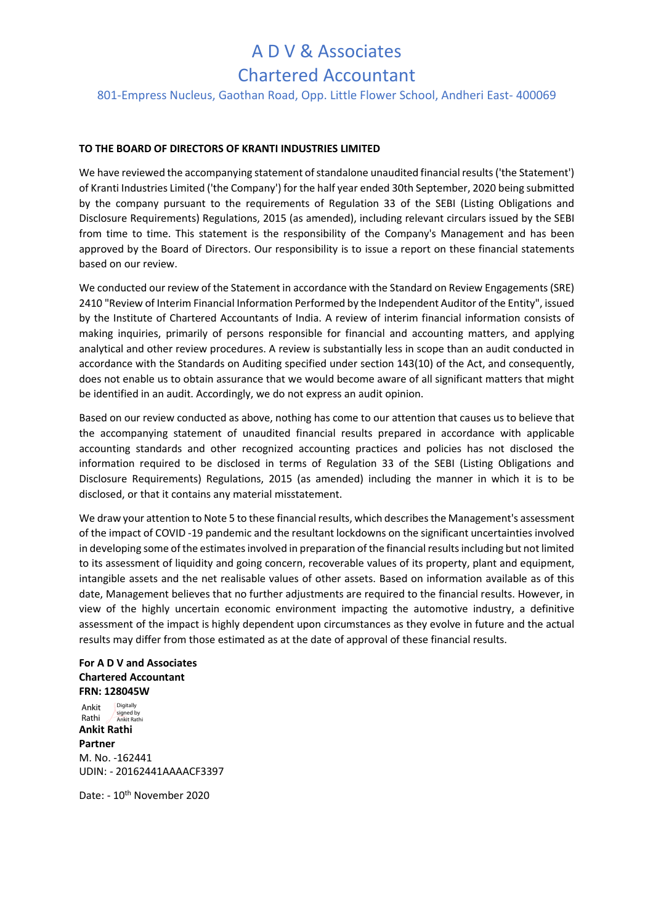### A D V & Associates

### Chartered Accountant

801-Empress Nucleus, Gaothan Road, Opp. Little Flower School, Andheri East- 400069

### **TO THE BOARD OF DIRECTORS OF KRANTI INDUSTRIES LIMITED**

We have reviewed the accompanying statement of standalone unaudited financial results ('the Statement') of Kranti Industries Limited ('the Company') for the half year ended 30th September, 2020 being submitted by the company pursuant to the requirements of Regulation 33 of the SEBI (Listing Obligations and Disclosure Requirements) Regulations, 2015 (as amended), including relevant circulars issued by the SEBI from time to time. This statement is the responsibility of the Company's Management and has been approved by the Board of Directors. Our responsibility is to issue a report on these financial statements based on our review.

We conducted our review of the Statement in accordance with the Standard on Review Engagements (SRE) 2410 "Review of Interim Financial Information Performed by the Independent Auditor of the Entity", issued by the Institute of Chartered Accountants of India. A review of interim financial information consists of making inquiries, primarily of persons responsible for financial and accounting matters, and applying analytical and other review procedures. A review is substantially less in scope than an audit conducted in accordance with the Standards on Auditing specified under section 143(10) of the Act, and consequently, does not enable us to obtain assurance that we would become aware of all significant matters that might be identified in an audit. Accordingly, we do not express an audit opinion.

Based on our review conducted as above, nothing has come to our attention that causes us to believe that the accompanying statement of unaudited financial results prepared in accordance with applicable accounting standards and other recognized accounting practices and policies has not disclosed the information required to be disclosed in terms of Regulation 33 of the SEBI (Listing Obligations and Disclosure Requirements) Regulations, 2015 (as amended) including the manner in which it is to be disclosed, or that it contains any material misstatement.

We draw your attention to Note 5 to these financial results, which describes the Management's assessment of the impact of COVID -19 pandemic and the resultant lockdowns on the significant uncertainties involved in developing some of the estimates involved in preparation of the financial results including but not limited to its assessment of liquidity and going concern, recoverable values of its property, plant and equipment, intangible assets and the net realisable values of other assets. Based on information available as of this date, Management believes that no further adjustments are required to the financial results. However, in view of the highly uncertain economic environment impacting the automotive industry, a definitive assessment of the impact is highly dependent upon circumstances as they evolve in future and the actual results may differ from those estimated as at the date of approval of these financial results.

#### **For A D V and Associates Chartered Accountant FRN: 128045W**

**Ankit Rathi Partner**  M. No. -162441 UDIN: - 20162441AAAACF3397 Ankit Rathi **Digitally** signed by Ankit Rathi

Date: - 10th November 2020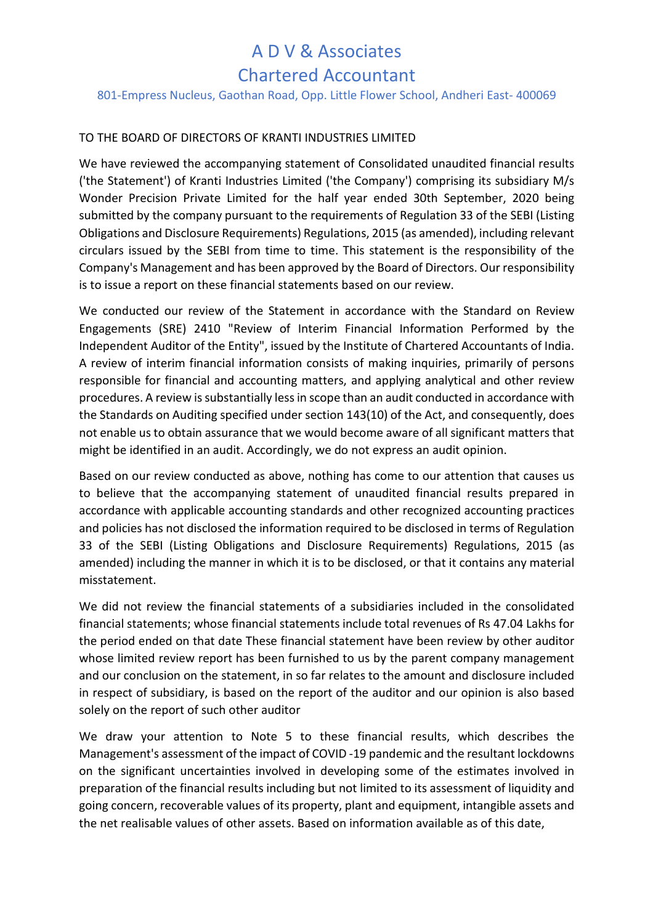## A D V & Associates

### Chartered Accountant

801-Empress Nucleus, Gaothan Road, Opp. Little Flower School, Andheri East- 400069

### TO THE BOARD OF DIRECTORS OF KRANTI INDUSTRIES LIMITED

We have reviewed the accompanying statement of Consolidated unaudited financial results ('the Statement') of Kranti Industries Limited ('the Company') comprising its subsidiary M/s Wonder Precision Private Limited for the half year ended 30th September, 2020 being submitted by the company pursuant to the requirements of Regulation 33 of the SEBI (Listing Obligations and Disclosure Requirements) Regulations, 2015 (as amended), including relevant circulars issued by the SEBI from time to time. This statement is the responsibility of the Company's Management and has been approved by the Board of Directors. Our responsibility is to issue a report on these financial statements based on our review.

We conducted our review of the Statement in accordance with the Standard on Review Engagements (SRE) 2410 "Review of Interim Financial Information Performed by the Independent Auditor of the Entity", issued by the Institute of Chartered Accountants of India. A review of interim financial information consists of making inquiries, primarily of persons responsible for financial and accounting matters, and applying analytical and other review procedures. A review is substantially less in scope than an audit conducted in accordance with the Standards on Auditing specified under section 143(10) of the Act, and consequently, does not enable us to obtain assurance that we would become aware of all significant matters that might be identified in an audit. Accordingly, we do not express an audit opinion.

Based on our review conducted as above, nothing has come to our attention that causes us to believe that the accompanying statement of unaudited financial results prepared in accordance with applicable accounting standards and other recognized accounting practices and policies has not disclosed the information required to be disclosed in terms of Regulation 33 of the SEBI (Listing Obligations and Disclosure Requirements) Regulations, 2015 (as amended) including the manner in which it is to be disclosed, or that it contains any material misstatement.

We did not review the financial statements of a subsidiaries included in the consolidated financial statements; whose financial statements include total revenues of Rs 47.04 Lakhs for the period ended on that date These financial statement have been review by other auditor whose limited review report has been furnished to us by the parent company management and our conclusion on the statement, in so far relates to the amount and disclosure included in respect of subsidiary, is based on the report of the auditor and our opinion is also based solely on the report of such other auditor

We draw your attention to Note 5 to these financial results, which describes the Management's assessment of the impact of COVID -19 pandemic and the resultant lockdowns on the significant uncertainties involved in developing some of the estimates involved in preparation of the financial results including but not limited to its assessment of liquidity and going concern, recoverable values of its property, plant and equipment, intangible assets and the net realisable values of other assets. Based on information available as of this date,